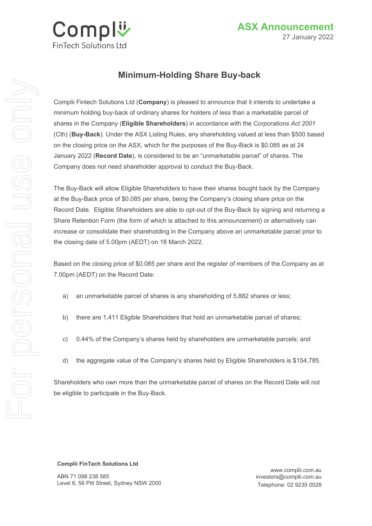

# **Minimum-Holding Share Buy-back**

Complii Fintech Solutions Ltd (**Company**) is pleased to announce that it intends to undertake a minimum holding buy-back of ordinary shares for holders of less than a marketable parcel of shares in the Company (**Eligible Shareholders**) in accordance with the *Corporations Act 2001* (Cth) (**Buy-Back**). Under the ASX Listing Rules, any shareholding valued at less than \$500 based on the closing price on the ASX, which for the purposes of the Buy-Back is \$0.085 as at 24 January 2022 (**Record Date**), is considered to be an "unmarketable parcel" of shares. The Company does not need shareholder approval to conduct the Buy-Back.

The Buy-Back will allow Eligible Shareholders to have their shares bought back by the Company at the Buy-Back price of \$0.085 per share, being the Company's closing share price on the Record Date. Eligible Shareholders are able to opt-out of the Buy-Back by signing and returning a Share Retention Form (the form of which is attached to this announcement) or alternatively can increase or consolidate their shareholding in the Company above an unmarketable parcel prior to the closing date of 5.00pm (AEDT) on 18 March 2022.

Based on the closing price of \$0.085 per share and the register of members of the Company as at 7.00pm (AEDT) on the Record Date:

- a) an unmarketable parcel of shares is any shareholding of 5,882 shares or less;
- b) there are 1,411 Eligible Shareholders that hold an unmarketable parcel of shares;
- c) 0.44% of the Company's shares held by shareholders are unmarketable parcels; and
- d) the aggregate value of the Company's shares held by Eligible Shareholders is \$154,785.

Shareholders who own more than the unmarketable parcel of shares on the Record Date will not be eligible to participate in the Buy-Back.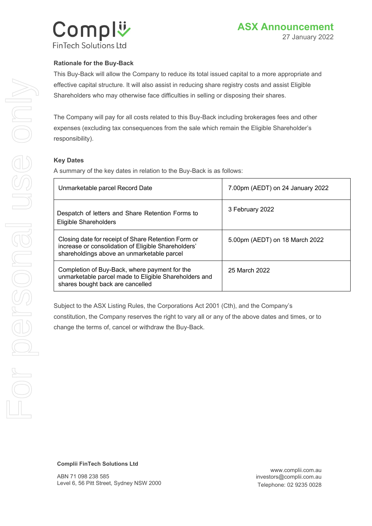

## **Rationale for the Buy-Back**

This Buy-Back will allow the Company to reduce its total issued capital to a more appropriate and effective capital structure. It will also assist in reducing share registry costs and assist Eligible Shareholders who may otherwise face difficulties in selling or disposing their shares.

The Company will pay for all costs related to this Buy-Back including brokerages fees and other expenses (excluding tax consequences from the sale which remain the Eligible Shareholder's responsibility).

#### **Key Dates**

A summary of the key dates in relation to the Buy-Back is as follows:

| Unmarketable parcel Record Date                                                                                                                          | 7.00pm (AEDT) on 24 January 2022 |
|----------------------------------------------------------------------------------------------------------------------------------------------------------|----------------------------------|
| Despatch of letters and Share Retention Forms to<br>Eligible Shareholders                                                                                | 3 February 2022                  |
| Closing date for receipt of Share Retention Form or<br>increase or consolidation of Eligible Shareholders'<br>shareholdings above an unmarketable parcel | 5.00pm (AEDT) on 18 March 2022   |
| Completion of Buy-Back, where payment for the<br>unmarketable parcel made to Eligible Shareholders and<br>shares bought back are cancelled               | 25 March 2022                    |

Subject to the ASX Listing Rules, the Corporations Act 2001 (Cth), and the Company's constitution, the Company reserves the right to vary all or any of the above dates and times, or to change the terms of, cancel or withdraw the Buy-Back.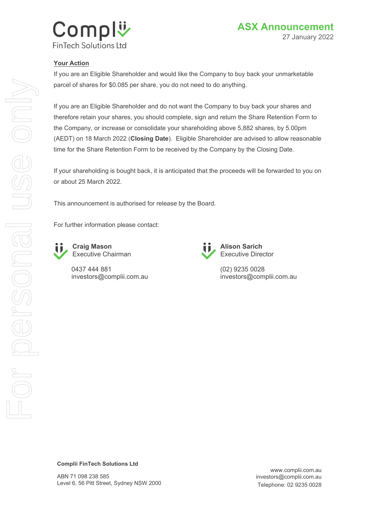

## **Your Action**

If you are an Eligible Shareholder and would like the Company to buy back your unmarketable parcel of shares for \$0.085 per share, you do not need to do anything.

If you are an Eligible Shareholder and do not want the Company to buy back your shares and therefore retain your shares, you should complete, sign and return the Share Retention Form to the Company, or increase or consolidate your shareholding above 5,882 shares, by 5.00pm (AEDT) on 18 March 2022 (**Closing Date**). Eligible Shareholder are advised to allow reasonable time for the Share Retention Form to be received by the Company by the Closing Date.

If your shareholding is bought back, it is anticipated that the proceeds will be forwarded to you on or about 25 March 2022.

This announcement is authorised for release by the Board.

For further information please contact:



**Craig Mason** Executive Chairman

0437 444 881 investors@complii.com.au



**Alison Sarich** Executive Director

(02) 9235 0028 investors@complii.com.au

#### **Complii FinTech Solutions Ltd**

ABN 71 098 238 585 Level 6, 56 Pitt Street, Sydney NSW 2000

www.complii.com.au investors@complii.com.au Telephone: 02 9235 0028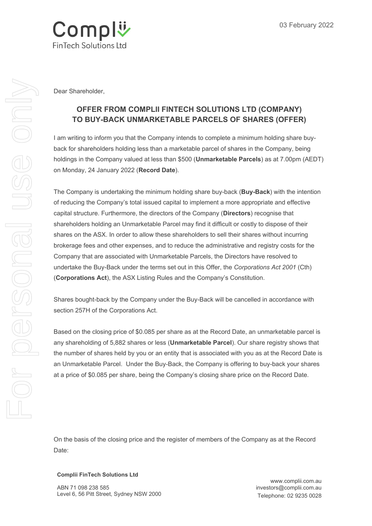

Dear Shareholder,

# **OFFER FROM COMPLII FINTECH SOLUTIONS LTD (COMPANY) TO BUY-BACK UNMARKETABLE PARCELS OF SHARES (OFFER)**

I am writing to inform you that the Company intends to complete a minimum holding share buyback for shareholders holding less than a marketable parcel of shares in the Company, being holdings in the Company valued at less than \$500 (**Unmarketable Parcels**) as at 7.00pm (AEDT) on Monday, 24 January 2022 (**Record Date**).

The Company is undertaking the minimum holding share buy-back (**Buy-Back**) with the intention of reducing the Company's total issued capital to implement a more appropriate and effective capital structure. Furthermore, the directors of the Company (**Directors**) recognise that shareholders holding an Unmarketable Parcel may find it difficult or costly to dispose of their shares on the ASX. In order to allow these shareholders to sell their shares without incurring brokerage fees and other expenses, and to reduce the administrative and registry costs for the Company that are associated with Unmarketable Parcels, the Directors have resolved to undertake the Buy-Back under the terms set out in this Offer, the *Corporations Act 2001* (Cth) (**Corporations Act**), the ASX Listing Rules and the Company's Constitution.

Shares bought-back by the Company under the Buy-Back will be cancelled in accordance with section 257H of the Corporations Act.

Based on the closing price of \$0.085 per share as at the Record Date, an unmarketable parcel is any shareholding of 5,882 shares or less (**Unmarketable Parcel**). Our share registry shows that the number of shares held by you or an entity that is associated with you as at the Record Date is an Unmarketable Parcel. Under the Buy-Back, the Company is offering to buy-back your shares at a price of \$0.085 per share, being the Company's closing share price on the Record Date.

On the basis of the closing price and the register of members of the Company as at the Record Date: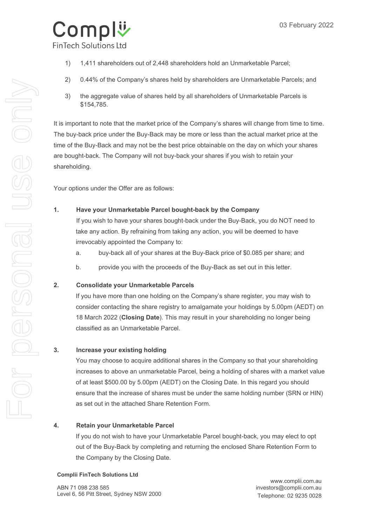

- 1) 1,411 shareholders out of 2,448 shareholders hold an Unmarketable Parcel;
- 2) 0.44% of the Company's shares held by shareholders are Unmarketable Parcels; and
- 3) the aggregate value of shares held by all shareholders of Unmarketable Parcels is \$154,785.

It is important to note that the market price of the Company's shares will change from time to time. The buy-back price under the Buy-Back may be more or less than the actual market price at the time of the Buy-Back and may not be the best price obtainable on the day on which your shares are bought-back. The Company will not buy-back your shares if you wish to retain your shareholding.

Your options under the Offer are as follows:

## **1. Have your Unmarketable Parcel bought-back by the Company**

If you wish to have your shares bought-back under the Buy-Back, you do NOT need to take any action. By refraining from taking any action, you will be deemed to have irrevocably appointed the Company to:

- a. buy-back all of your shares at the Buy-Back price of \$0.085 per share; and
- b. provide you with the proceeds of the Buy-Back as set out in this letter.

# **2. Consolidate your Unmarketable Parcels**

If you have more than one holding on the Company's share register, you may wish to consider contacting the share registry to amalgamate your holdings by 5.00pm (AEDT) on 18 March 2022 (**Closing Date**). This may result in your shareholding no longer being classified as an Unmarketable Parcel.

# **3. Increase your existing holding**

You may choose to acquire additional shares in the Company so that your shareholding increases to above an unmarketable Parcel, being a holding of shares with a market value of at least \$500.00 by 5.00pm (AEDT) on the Closing Date. In this regard you should ensure that the increase of shares must be under the same holding number (SRN or HIN) as set out in the attached Share Retention Form.

## **4. Retain your Unmarketable Parcel**

If you do not wish to have your Unmarketable Parcel bought-back, you may elect to opt out of the Buy-Back by completing and returning the enclosed Share Retention Form to the Company by the Closing Date.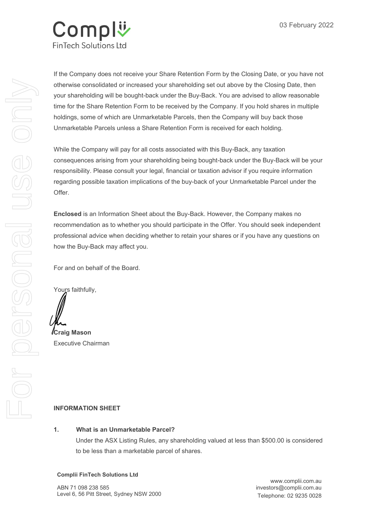

If the Company does not receive your Share Retention Form by the Closing Date, or you have not otherwise consolidated or increased your shareholding set out above by the Closing Date, then your shareholding will be bought-back under the Buy-Back. You are advised to allow reasonable time for the Share Retention Form to be received by the Company. If you hold shares in multiple holdings, some of which are Unmarketable Parcels, then the Company will buy back those Unmarketable Parcels unless a Share Retention Form is received for each holding.

While the Company will pay for all costs associated with this Buy-Back, any taxation consequences arising from your shareholding being bought-back under the Buy-Back will be your responsibility. Please consult your legal, financial or taxation advisor if you require information regarding possible taxation implications of the buy-back of your Unmarketable Parcel under the Offer.

**Enclosed** is an Information Sheet about the Buy-Back. However, the Company makes no recommendation as to whether you should participate in the Offer. You should seek independent professional advice when deciding whether to retain your shares or if you have any questions on how the Buy-Back may affect you.

For and on behalf of the Board.

Yours faithfully,

**Craig Mason**  Executive Chairman

## **INFORMATION SHEET**

#### **1. What is an Unmarketable Parcel?**

Under the ASX Listing Rules, any shareholding valued at less than \$500.00 is considered to be less than a marketable parcel of shares.

#### **Complii FinTech Solutions Ltd**

ABN 71 098 238 585 Level 6, 56 Pitt Street, Sydney NSW 2000

www.complii.com.au investors@complii.com.au Telephone: 02 9235 0028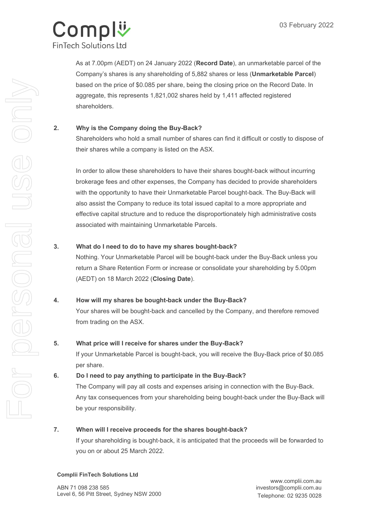

As at 7.00pm (AEDT) on 24 January 2022 (**Record Date**), an unmarketable parcel of the Company's shares is any shareholding of 5,882 shares or less (**Unmarketable Parcel**) based on the price of \$0.085 per share, being the closing price on the Record Date. In aggregate, this represents 1,821,002 shares held by 1,411 affected registered shareholders.

# **2. Why is the Company doing the Buy-Back?**

Shareholders who hold a small number of shares can find it difficult or costly to dispose of their shares while a company is listed on the ASX.

In order to allow these shareholders to have their shares bought-back without incurring brokerage fees and other expenses, the Company has decided to provide shareholders with the opportunity to have their Unmarketable Parcel bought-back. The Buy-Back will also assist the Company to reduce its total issued capital to a more appropriate and effective capital structure and to reduce the disproportionately high administrative costs associated with maintaining Unmarketable Parcels.

## **3. What do I need to do to have my shares bought-back?**

Nothing. Your Unmarketable Parcel will be bought-back under the Buy-Back unless you return a Share Retention Form or increase or consolidate your shareholding by 5.00pm (AEDT) on 18 March 2022 (**Closing Date**).

## **4. How will my shares be bought-back under the Buy-Back?**

Your shares will be bought-back and cancelled by the Company, and therefore removed from trading on the ASX.

## **5. What price will I receive for shares under the Buy-Back?**

If your Unmarketable Parcel is bought-back, you will receive the Buy-Back price of \$0.085 per share.

# **6. Do I need to pay anything to participate in the Buy-Back?**

The Company will pay all costs and expenses arising in connection with the Buy-Back. Any tax consequences from your shareholding being bought-back under the Buy-Back will be your responsibility.

## **7. When will I receive proceeds for the shares bought-back?**

If your shareholding is bought-back, it is anticipated that the proceeds will be forwarded to you on or about 25 March 2022.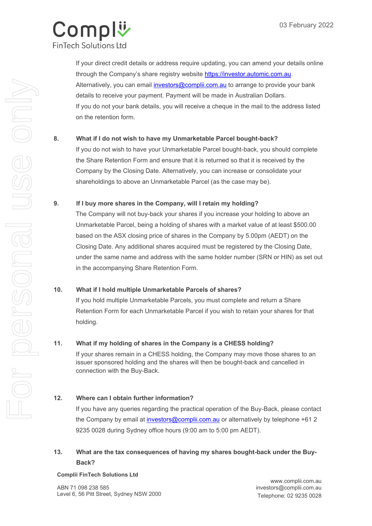

If your direct credit details or address require updating, you can amend your details online through the Company's share registry website https://investor.automic.com.au. Alternatively, you can email *investors@complii.com.au* to arrange to provide your bank details to receive your payment. Payment will be made in Australian Dollars. If you do not your bank details, you will receive a cheque in the mail to the address listed on the retention form.

## **8. What if I do not wish to have my Unmarketable Parcel bought-back?**

If you do not wish to have your Unmarketable Parcel bought-back, you should complete the Share Retention Form and ensure that it is returned so that it is received by the Company by the Closing Date. Alternatively, you can increase or consolidate your shareholdings to above an Unmarketable Parcel (as the case may be).

## **9. If I buy more shares in the Company, will I retain my holding?**

The Company will not buy-back your shares if you increase your holding to above an Unmarketable Parcel, being a holding of shares with a market value of at least \$500.00 based on the ASX closing price of shares in the Company by 5.00pm (AEDT) on the Closing Date. Any additional shares acquired must be registered by the Closing Date, under the same name and address with the same holder number (SRN or HIN) as set out in the accompanying Share Retention Form.

## **10. What if I hold multiple Unmarketable Parcels of shares?**

If you hold multiple Unmarketable Parcels, you must complete and return a Share Retention Form for each Unmarketable Parcel if you wish to retain your shares for that holding.

## **11. What if my holding of shares in the Company is a CHESS holding?**

If your shares remain in a CHESS holding, the Company may move those shares to an issuer sponsored holding and the shares will then be bought-back and cancelled in connection with the Buy-Back.

## **12. Where can I obtain further information?**

If you have any queries regarding the practical operation of the Buy-Back, please contact the Company by email at *investors@complii.com.au* or alternatively by telephone +61 2 9235 0028 during Sydney office hours (9:00 am to 5:00 pm AEDT).

# **13. What are the tax consequences of having my shares bought-back under the Buy- Back?**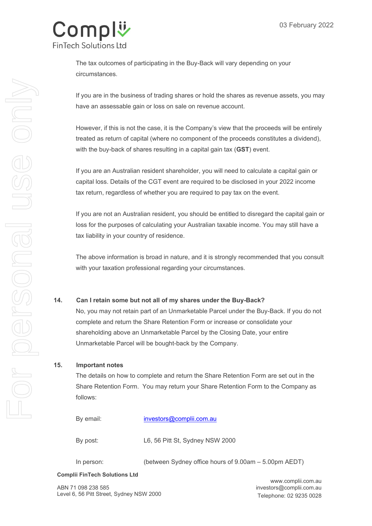

The tax outcomes of participating in the Buy-Back will vary depending on your circumstances.

If you are in the business of trading shares or hold the shares as revenue assets, you may have an assessable gain or loss on sale on revenue account.

However, if this is not the case, it is the Company's view that the proceeds will be entirely treated as return of capital (where no component of the proceeds constitutes a dividend), with the buy-back of shares resulting in a capital gain tax (**GST**) event.

If you are an Australian resident shareholder, you will need to calculate a capital gain or capital loss. Details of the CGT event are required to be disclosed in your 2022 income tax return, regardless of whether you are required to pay tax on the event.

If you are not an Australian resident, you should be entitled to disregard the capital gain or loss for the purposes of calculating your Australian taxable income. You may still have a tax liability in your country of residence.

The above information is broad in nature, and it is strongly recommended that you consult with your taxation professional regarding your circumstances.

## **14. Can I retain some but not all of my shares under the Buy-Back?**

No, you may not retain part of an Unmarketable Parcel under the Buy-Back. If you do not complete and return the Share Retention Form or increase or consolidate your shareholding above an Unmarketable Parcel by the Closing Date, your entire Unmarketable Parcel will be bought-back by the Company.

#### **15. Important notes**

The details on how to complete and return the Share Retention Form are set out in the Share Retention Form. You may return your Share Retention Form to the Company as follows:

By email: investors@complii.com.au

By post: L6, 56 Pitt St, Sydney NSW 2000

In person: (between Sydney office hours of 9.00am – 5.00pm AEDT)

#### **Complii FinTech Solutions Ltd**

ABN 71 098 238 585 Level 6, 56 Pitt Street, Sydney NSW 2000

www.complii.com.au investors@complii.com.au Telephone: 02 9235 0028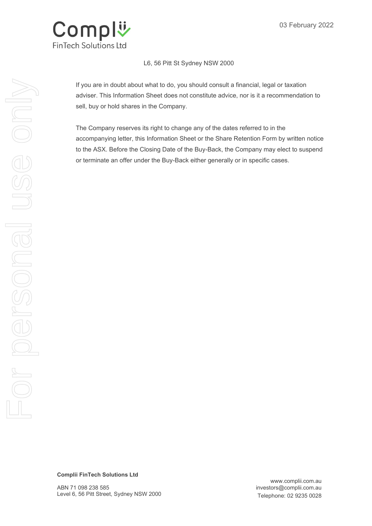

#### L6, 56 Pitt St Sydney NSW 2000

If you are in doubt about what to do, you should consult a financial, legal or taxation adviser. This Information Sheet does not constitute advice, nor is it a recommendation to sell, buy or hold shares in the Company.

The Company reserves its right to change any of the dates referred to in the accompanying letter, this Information Sheet or the Share Retention Form by written notice to the ASX. Before the Closing Date of the Buy-Back, the Company may elect to suspend or terminate an offer under the Buy-Back either generally or in specific cases.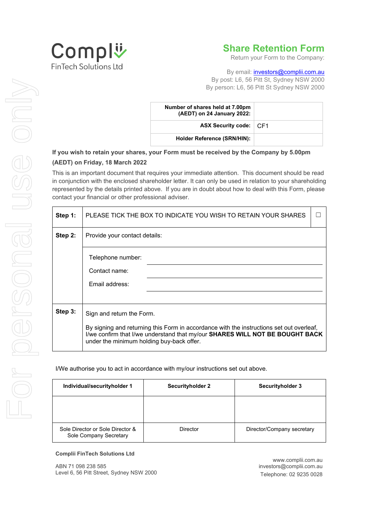

# **Share Retention Form**

Return your Form to the Company:

By email: *investors@complii.com.au* By post: L6, 56 Pitt St, Sydney NSW 2000 By person: L6, 56 Pitt St Sydney NSW 2000

| Number of shares held at 7.00pm<br>(AEDT) on 24 January 2022: |  |
|---------------------------------------------------------------|--|
| <b>ASX Security code:</b> CF1                                 |  |
| <b>Holder Reference (SRN/HIN):</b>                            |  |

# **If you wish to retain your shares, your Form must be received by the Company by 5.00pm (AEDT) on Friday, 18 March 2022**

This is an important document that requires your immediate attention. This document should be read in conjunction with the enclosed shareholder letter. It can only be used in relation to your shareholding represented by the details printed above. If you are in doubt about how to deal with this Form, please contact your financial or other professional adviser.

| Step 1: | PLEASE TICK THE BOX TO INDICATE YOU WISH TO RETAIN YOUR SHARES                                                                                                                                                        |  |
|---------|-----------------------------------------------------------------------------------------------------------------------------------------------------------------------------------------------------------------------|--|
| Step 2: | Provide your contact details:                                                                                                                                                                                         |  |
|         | Telephone number:                                                                                                                                                                                                     |  |
|         | Contact name:                                                                                                                                                                                                         |  |
|         | Email address:                                                                                                                                                                                                        |  |
|         |                                                                                                                                                                                                                       |  |
| Step 3: | Sign and return the Form.                                                                                                                                                                                             |  |
|         | By signing and returning this Form in accordance with the instructions set out overleaf,<br>I/we confirm that I/we understand that my/our SHARES WILL NOT BE BOUGHT BACK<br>under the minimum holding buy-back offer. |  |

I/We authorise you to act in accordance with my/our instructions set out above.

| Individual/securityholder 1                                | <b>Securityholder 2</b> | <b>Securityholder 3</b>    |
|------------------------------------------------------------|-------------------------|----------------------------|
|                                                            |                         |                            |
| Sole Director or Sole Director &<br>Sole Company Secretary | Director                | Director/Company secretary |

#### **Complii FinTech Solutions Ltd**

ABN 71 098 238 585 Level 6, 56 Pitt Street, Sydney NSW 2000